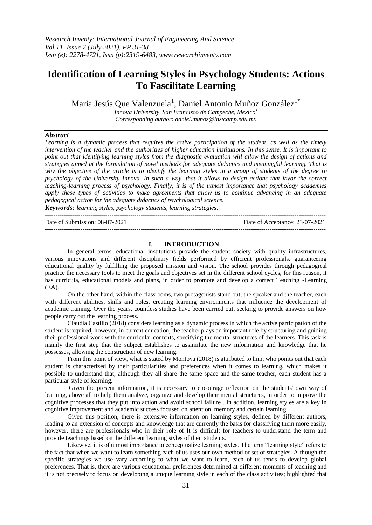# **Identification of Learning Styles in Psychology Students: Actions To Fascilitate Learning**

Maria Jesús Que Valenzuela<sup>1</sup>, Daniel Antonio Muñoz González<sup>1\*</sup>

*Innova University, San Francisco de Campeche, Mexico<sup>1</sup> Corresponding author: daniel.munoz@instcamp.edu.mx*

## *Abstract*

*Learning is a dynamic process that requires the active participation of the student, as well as the timely intervention of the teacher and the authorities of higher education institutions. In this sense. It is important to point out that identifying learning styles from the diagnostic evaluation will allow the design of actions and strategies aimed at the formulation of novel methods for adequate didactics and meaningful learning. That is why the objective of the article is to identify the learning styles in a group of students of the degree in psychology of the University Innova. In such a way, that it allows to design actions that favor the correct teaching-learning process of psychology. Finally, it is of the utmost importance that psychology academies apply these types of activities to make agreements that allow us to continue advancing in an adequate pedagogical action for the adequate didactics of psychological science.*

*Keywords: learning styles, psychology students, learning strategies.* ---------------------------------------------------------------------------------------------------------------------------------------

Date of Submission: 08-07-2021 Date of Acceptance: 23-07-2021

## **I. INTRODUCTION**

---------------------------------------------------------------------------------------------------------------------------------------

In general terms, educational institutions provide the student society with quality infrastructures, various innovations and different disciplinary fields performed by efficient professionals, guaranteeing educational quality by fulfilling the proposed mission and vision. The school provides through pedagogical practice the necessary tools to meet the goals and objectives set in the different school cycles, for this reason, it has curricula, educational models and plans, in order to promote and develop a correct Teaching -Learning (EA).

On the other hand, within the classrooms, two protagonists stand out, the speaker and the teacher, each with different abilities, skills and roles, creating learning environments that influence the development of academic training. Over the years, countless studies have been carried out, seeking to provide answers on how people carry out the learning process.

Claudia Castillo (2018) considers learning as a dynamic process in which the active participation of the student is required, however, in current education, the teacher plays an important role by structuring and guiding their professional work with the curricular contents, specifying the mental structures of the learners. This task is mainly the first step that the subject establishes to assimilate the new information and knowledge that he possesses, allowing the construction of new learning.

From this point of view, what is stated by Montoya (2018) is attributed to him, who points out that each student is characterized by their particularities and preferences when it comes to learning, which makes it possible to understand that, although they all share the same space and the same teacher, each student has a particular style of learning.

Given the present information, it is necessary to encourage reflection on the students' own way of learning, above all to help them analyze, organize and develop their mental structures, in order to improve the cognitive processes that they put into action and avoid school failure . In addition, learning styles are a key in cognitive improvement and academic success focused on attention, memory and certain learning.

Given this position, there is extensive information on learning styles, defined by different authors, leading to an extension of concepts and knowledge that are currently the basis for classifying them more easily, however, there are professionals who in their role of It is difficult for teachers to understand the term and provide teachings based on the different learning styles of their students.

Likewise, it is of utmost importance to conceptualize learning styles. The term "learning style" refers to the fact that when we want to learn something each of us uses our own method or set of strategies. Although the specific strategies we use vary according to what we want to learn, each of us tends to develop global preferences. That is, there are various educational preferences determined at different moments of teaching and it is not precisely to focus on developing a unique learning style in each of the class activities; highlighted that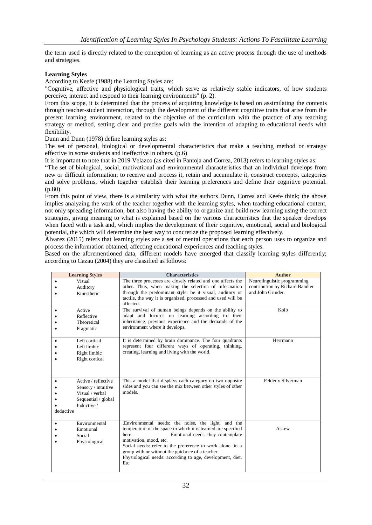the term used is directly related to the conception of learning as an active process through the use of methods and strategies.

### **Learning Styles**

According to Keefe (1988) the Learning Styles are:

"Cognitive, affective and physiological traits, which serve as relatively stable indicators, of how students perceive, interact and respond to their learning environments" (p. 2).

From this scope, it is determined that the process of acquiring knowledge is based on assimilating the contents through teacher-student interaction, through the development of the different cognitive traits that arise from the present learning environment, related to the objective of the curriculum with the practice of any teaching strategy or method, setting clear and precise goals with the intention of adapting to educational needs with flexibility.

Dunn and Dunn (1978) define learning styles as:

The set of personal, biological or developmental characteristics that make a teaching method or strategy effective in some students and ineffective in others. (p.6)

It is important to note that in 2019 Velazco (as cited in Pantoja and Correa, 2013) refers to learning styles as:

"The set of biological, social, motivational and environmental characteristics that an individual develops from new or difficult information; to receive and process it, retain and accumulate it, construct concepts, categories and solve problems, which together establish their learning preferences and define their cognitive potential. (p.80)

From this point of view, there is a similarity with what the authors Dunn, Correa and Keefe think; the above implies analyzing the work of the teacher together with the learning styles, when teaching educational content, not only spreading information, but also having the ability to organize and build new learning using the correct strategies, giving meaning to what is explained based on the various characteristics that the speaker develops when faced with a task and, which implies the development of their cognitive, emotional, social and biological potential, the which will determine the best way to concretize the proposed learning effectively.

Álvarez (2015) refers that learning styles are a set of mental operations that each person uses to organize and process the information obtained, affecting educational experiences and teaching styles.

Based on the aforementioned data, different models have emerged that classify learning styles differently; according to Cazau (2004) they are classified as follows:

|           | <b>Learning Styles</b>                                                                              | <b>Characteristics</b>                                                                                                                                                                                                                                                                                                                                                            | <b>Author</b>                                                                       |
|-----------|-----------------------------------------------------------------------------------------------------|-----------------------------------------------------------------------------------------------------------------------------------------------------------------------------------------------------------------------------------------------------------------------------------------------------------------------------------------------------------------------------------|-------------------------------------------------------------------------------------|
| $\bullet$ | Visual<br>Auditory<br>Kinesthetic                                                                   | The three processes are closely related and one affects the<br>other. Thus, when making the selection of information<br>through the predominant style, be it visual, auditory or<br>tactile, the way it is organized, processed and used will be<br>affected.                                                                                                                     | Neurolinguistic programming<br>contribution by Richard Bandler<br>and John Grinder. |
| ٠         | Active<br>Reflective<br>Theoretical<br>Pragmatic                                                    | The survival of human beings depends on the ability to<br>adapt and focuses on learning according to: their<br>inheritance, previous experience and the demands of the<br>environment where it develops.                                                                                                                                                                          | Kolb                                                                                |
|           | Left cortical<br>Left limbic<br>Right limbic<br>Right cortical                                      | It is determined by brain dominance. The four quadrants<br>represent four different ways of operating, thinking,<br>creating, learning and living with the world.                                                                                                                                                                                                                 | Herrmann                                                                            |
| deductive | Active / reflective<br>Sensory / intuitive<br>Visual / verbal<br>Sequential / global<br>Inductive / | This a model that displays each category on two opposite<br>sides and you can see the mix between other styles of other<br>models.                                                                                                                                                                                                                                                | Felder y Silverman                                                                  |
| $\bullet$ | Environmental<br>Emotional<br>Social<br>Physiological                                               | .Environmental needs: the noise, the light, and the<br>temperature of the space in which it is learned are specified<br>here.<br>Emotional needs: they contemplate<br>motivation, mood, etc.<br>Social needs: refer to the preference to work alone, in a<br>group with or without the guidance of a teacher.<br>Physiological needs: according to age, development, diet.<br>Etc | Askew                                                                               |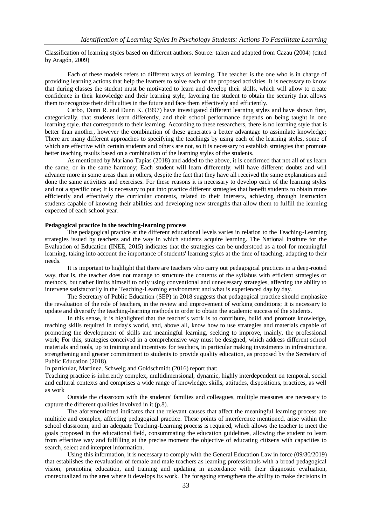Classification of learning styles based on different authors. Source: taken and adapted from Cazau (2004) (cited by Aragón, 2009)

Each of these models refers to different ways of learning. The teacher is the one who is in charge of providing learning actions that help the learners to solve each of the proposed activities. It is necessary to know that during classes the student must be motivated to learn and develop their skills, which will allow to create confidence in their knowledge and their learning style, favoring the student to obtain the security that allows them to recognize their difficulties in the future and face them effectively and efficiently.

Carbo, Dunn R. and Dunn K. (1997) have investigated different learning styles and have shown first, categorically, that students learn differently, and their school performance depends on being taught in one learning style. that corresponds to their learning. According to these researchers, there is no learning style that is better than another, however the combination of these generates a better advantage to assimilate knowledge; There are many different approaches to specifying the teachings by using each of the learning styles, some of which are effective with certain students and others are not, so it is necessary to establish strategies that promote better teaching results based on a combination of the learning styles of the students.

As mentioned by Mariano Tapias (2018) and added to the above, it is confirmed that not all of us learn the same, or in the same harmony; Each student will learn differently, will have different doubts and will advance more in some areas than in others, despite the fact that they have all received the same explanations and done the same activities and exercises. For these reasons it is necessary to develop each of the learning styles and not a specific one; It is necessary to put into practice different strategies that benefit students to obtain more efficiently and effectively the curricular contents, related to their interests, achieving through instruction students capable of knowing their abilities and developing new strengths that allow them to fulfill the learning expected of each school year.

#### **Pedagogical practice in the teaching-learning process**

The pedagogical practice at the different educational levels varies in relation to the Teaching-Learning strategies issued by teachers and the way in which students acquire learning. The National Institute for the Evaluation of Education (INEE, 2015) indicates that the strategies can be understood as a tool for meaningful learning, taking into account the importance of students' learning styles at the time of teaching, adapting to their needs.

It is important to highlight that there are teachers who carry out pedagogical practices in a deep-rooted way, that is, the teacher does not manage to structure the contents of the syllabus with efficient strategies or methods, but rather limits himself to only using conventional and unnecessary strategies, affecting the ability to intervene satisfactorily in the Teaching-Learning environment and what is experienced day by day.

The Secretary of Public Education (SEP) in 2018 suggests that pedagogical practice should emphasize the revaluation of the role of teachers, in the review and improvement of working conditions; It is necessary to update and diversify the teaching-learning methods in order to obtain the academic success of the students.

In this sense, it is highlighted that the teacher's work is to contribute, build and promote knowledge, teaching skills required in today's world, and, above all, know how to use strategies and materials capable of promoting the development of skills and meaningful learning, seeking to improve, mainly, the professional work; For this, strategies conceived in a comprehensive way must be designed, which address different school materials and tools, up to training and incentives for teachers, in particular making investments in infrastructure, strengthening and greater commitment to students to provide quality education, as proposed by the Secretary of Public Education (2018).

In particular, Martínez, Schweig and Goldschmidt (2016) report that:

Teaching practice is inherently complex, multidimensional, dynamic, highly interdependent on temporal, social and cultural contexts and comprises a wide range of knowledge, skills, attitudes, dispositions, practices, as well as work

Outside the classroom with the students' families and colleagues, multiple measures are necessary to capture the different qualities involved in it (p.8).

The aforementioned indicates that the relevant causes that affect the meaningful learning process are multiple and complex, affecting pedagogical practice. These points of interference mentioned, arise within the school classroom, and an adequate Teaching-Learning process is required, which allows the teacher to meet the goals proposed in the educational field, consummating the education guidelines, allowing the student to learn from effective way and fulfilling at the precise moment the objective of educating citizens with capacities to search, select and interpret information.

Using this information, it is necessary to comply with the General Education Law in force (09/30/2019) that establishes the revaluation of female and male teachers as learning professionals with a broad pedagogical vision, promoting education, and training and updating in accordance with their diagnostic evaluation, contextualized to the area where it develops its work. The foregoing strengthens the ability to make decisions in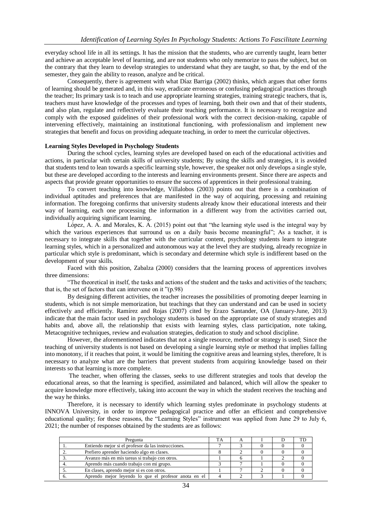everyday school life in all its settings. It has the mission that the students, who are currently taught, learn better and achieve an acceptable level of learning, and are not students who only memorize to pass the subject, but on the contrary that they learn to develop strategies to understand what they are taught, so that, by the end of the semester, they gain the ability to reason, analyze and be critical.

Consequently, there is agreement with what Díaz Barriga (2002) thinks, which argues that other forms of learning should be generated and, in this way, eradicate erroneous or confusing pedagogical practices through the teacher; Its primary task is to teach and use appropriate learning strategies, training strategic teachers, that is, teachers must have knowledge of the processes and types of learning, both their own and that of their students, and also plan, regulate and reflectively evaluate their teaching performance. It is necessary to recognize and comply with the exposed guidelines of their professional work with the correct decision-making, capable of intervening effectively, maintaining an institutional functioning, with professionalism and implement new strategies that benefit and focus on providing adequate teaching, in order to meet the curricular objectives.

#### **Learning Styles Developed in Psychology Students**

During the school cycles, learning styles are developed based on each of the educational activities and actions, in particular with certain skills of university students; By using the skills and strategies, it is avoided that students tend to lean towards a specific learning style, however, the speaker not only develops a single style, but these are developed according to the interests and learning environments present. Since there are aspects and aspects that provide greater opportunities to ensure the success of apprentices in their professional training.

To convert teaching into knowledge, Villalobos (2003) points out that there is a combination of individual aptitudes and preferences that are manifested in the way of acquiring, processing and retaining information. The foregoing confirms that university students already know their educational interests and their way of learning, each one processing the information in a different way from the activities carried out, individually acquiring significant learning.

López, A. A. and Morales, K. A. (2015) point out that "the learning style used is the integral way by which the various experiences that surround us on a daily basis become meaningful"; As a teacher, it is necessary to integrate skills that together with the curricular content, psychology students learn to integrate learning styles, which in a personalized and autonomous way at the level they are studying, already recognize in particular which style is predominant, which is secondary and determine which style is indifferent based on the development of your skills.

Faced with this position, Zabalza (2000) considers that the learning process of apprentices involves three dimensions:

"The theoretical in itself, the tasks and actions of the student and the tasks and activities of the teachers; that is, the set of factors that can intervene on it "(p.98)

By designing different activities, the teacher increases the possibilities of promoting deeper learning in students, which is not simple memorization, but teachings that they can understand and can be used in society effectively and efficiently. Ramírez and Rojas (2007) cited by Erazo Santander, OA (January-June, 2013) indicate that the main factor used in psychology students is based on the appropriate use of study strategies and habits and, above all, the relationship that exists with learning styles, class participation, note taking, Metacognitive techniques, review and evaluation strategies, dedication to study and school discipline.

However, the aforementioned indicates that not a single resource, method or strategy is used; Since the teaching of university students is not based on developing a single learning style or method that implies falling into monotony, if it reaches that point, it would be limiting the cognitive areas and learning styles, therefore, It is necessary to analyze what are the barriers that prevent students from acquiring knowledge based on their interests so that learning is more complete.

The teacher, when offering the classes, seeks to use different strategies and tools that develop the educational areas, so that the learning is specified, assimilated and balanced, which will allow the speaker to acquire knowledge more effectively, taking into account the way in which the student receives the teaching and the way he thinks.

Therefore, it is necessary to identify which learning styles predominate in psychology students at INNOVA University, in order to improve pedagogical practice and offer an efficient and comprehensive educational quality; for these reasons, the "Learning Styles" instrument was applied from June 29 to July 6, 2021; the number of responses obtained by the students are as follows:

| Pregunta |                                                      | TA |  | TD |
|----------|------------------------------------------------------|----|--|----|
|          | Entiendo mejor si el profesor da las instrucciones.  |    |  |    |
|          | Prefiero aprender haciendo algo en clases.           |    |  |    |
|          | Avanzo más en mis tareas si trabajo con otros.       |    |  |    |
| 4.       | Aprendo más cuando trabajo con mi grupo.             |    |  |    |
|          | En clases, aprendo mejor si es con otros.            |    |  |    |
|          | Aprendo mejor leyendo lo que el profesor anota en el |    |  |    |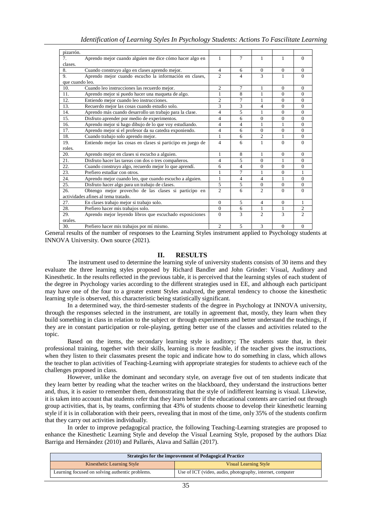| pizarrón.       |                                                             |                |                |                |              |                             |
|-----------------|-------------------------------------------------------------|----------------|----------------|----------------|--------------|-----------------------------|
| 7.              | Aprendo mejor cuando alguien me dice cómo hacer algo en     | $\mathbf{1}$   | 7              | 1              | 1            | $\Omega$                    |
| clases.         |                                                             |                |                |                |              |                             |
| 8.              | Cuando construyo algo en clases aprendo mejor.              | $\overline{4}$ | 6              | $\Omega$       | $\mathbf{0}$ | $\Omega$                    |
| 9.              | Aprendo mejor cuando escucho la información en clases,      |                |                | 3              | 1            | $\Omega$                    |
| que cuando leo. |                                                             |                |                |                |              |                             |
| 10.             | Cuando leo instrucciones las recuerdo mejor.                | $\overline{c}$ | 7              | 1              | $\Omega$     | $\Omega$                    |
| 11.             | Aprendo mejor si puedo hacer una maqueta de algo.           | 1              | 8              | 1              | $\Omega$     | $\Omega$                    |
| 12.             | Entiendo mejor cuando leo instrucciones.                    | $\overline{c}$ | 7              | 1              | $\Omega$     | $\mathbf{0}$                |
| 13.             | Recuerdo mejor las cosas cuando estudio solo.               | 3              | 3              | 4              | $\Omega$     | $\Omega$                    |
| 14.             | Aprendo más cuando desarrollo un trabajo para la clase.     | 4              | 5              | 1              | $\mathbf{0}$ | $\overline{0}$              |
| 15.             | Disfruto aprender por medio de experimentos.                | 4              | 6              | $\Omega$       | $\mathbf{0}$ | $\Omega$                    |
| 16.             | Aprendo mejor si hago dibujo de lo que voy estudiando.      | 4              | 4              | 1              | 1            | $\mathbf{0}$                |
| 17.             | Aprendo mejor si el profesor da su catedra exponiendo.      | 4              | 6              | $\Omega$       | $\Omega$     | $\Omega$                    |
| 18.             | Cuando trabajo solo aprendo mejor.                          | 1              | 6              | $\overline{2}$ | 1            | $\mathbf{0}$                |
| 19.             | Entiendo mejor las cosas en clases si participo en juego de | 4              | 6              | 1              | $\Omega$     | $\Omega$                    |
| roles.          |                                                             |                |                |                |              |                             |
| 20.             | Aprendo mejor en clases si escucho a alguien.               | $\mathbf{1}$   | 8              | $\mathbf{1}$   | $\Omega$     | $\Omega$                    |
| 21.             | Disfruto hacer las tareas con dos o tres compañeros.        | 4              | 5              | $\Omega$       | 1            | $\Omega$                    |
| 22.             | Cuando construyo algo, recuerdo mejor lo que aprendí.       | 6              | 4              | $\Omega$       | $\Omega$     | $\Omega$                    |
| 23.             | Prefiero estudiar con otros.                                | 1              | 7              | 1              | $\Omega$     | 1                           |
| 24.             | Aprendo mejor cuando leo, que cuando escucho a alguien.     | $\mathbf{1}$   | $\overline{4}$ | 4              | 1            | $\Omega$                    |
| 25.             | Disfruto hacer algo para un trabajo de clases.              | 5              | 5              | $\mathbf{0}$   | $\mathbf{0}$ | $\mathbf{0}$                |
| 26.             | Obtengo mejor provecho de las clases si participo en        | $\overline{2}$ | 6              | $\overline{c}$ | $\Omega$     | $\Omega$                    |
|                 | actividades afines al tema tratado.                         |                |                |                |              |                             |
| 27.             | En clases trabajo mejor si trabajo solo.                    |                | $\overline{5}$ | $\overline{4}$ | $\Omega$     | $\mathbf{1}$                |
| 28.             | Prefiero hacer mis trabajos solo.                           |                | 6              | 1              | 1            | 2                           |
| 29.             | Aprendo mejor leyendo libros que escuchado exposiciones     | $\Omega$       | 3              | $\overline{c}$ | 3            | $\mathcal{D}_{\mathcal{L}}$ |
| orales.         |                                                             |                |                |                |              |                             |
| 30.             | Prefiero hacer mis trabajos por mí mismo.                   | $\overline{c}$ | 5              | 3              | $\Omega$     | $\mathbf{0}$                |

General results of the number of responses to the Learning Styles instrument applied to Psychology students at INNOVA University. Own source (2021).

## **II. RESULTS**

The instrument used to determine the learning style of university students consists of 30 items and they evaluate the three learning styles proposed by Richard Bandler and John Grinder: Visual, Auditory and Kinesthetic. In the results reflected in the previous table, it is perceived that the learning styles of each student of the degree in Psychology varies according to the different strategies used in EE, and although each participant may have one of the four to a greater extent Styles analyzed, the general tendency to choose the kinesthetic learning style is observed, this characteristic being statistically significant.

In a determined way, the third-semester students of the degree in Psychology at INNOVA university, through the responses selected in the instrument, are totally in agreement that, mostly, they learn when they build something in class in relation to the subject or through experiments and better understand the teachings, if they are in constant participation or role-playing, getting better use of the classes and activities related to the topic.

Based on the items, the secondary learning style is auditory; The students state that, in their professional training, together with their skills, learning is more feasible, if the teacher gives the instructions, when they listen to their classmates present the topic and indicate how to do something in class, which allows the teacher to plan activities of Teaching-Learning with appropriate strategies for students to achieve each of the challenges proposed in class.

However, unlike the dominant and secondary style, on average five out of ten students indicate that they learn better by reading what the teacher writes on the blackboard, they understand the instructions better and, thus, it is easier to remember them, demonstrating that the style of indifferent learning is visual. Likewise, it is taken into account that students refer that they learn better if the educational contents are carried out through group activities, that is, by teams, confirming that 43% of students choose to develop their kinesthetic learning style if it is in collaboration with their peers, revealing that in most of the time, only 35% of the students confirm that they carry out activities individually.

In order to improve pedagogical practice, the following Teaching-Learning strategies are proposed to enhance the Kinesthetic Learning Style and develop the Visual Learning Style, proposed by the authors Díaz Barriga and Hernández (2010) and Pallarés, Alava and Sallán (2017).

| <b>Strategies for the improvement of Pedagogical Practice</b> |                                                           |  |  |
|---------------------------------------------------------------|-----------------------------------------------------------|--|--|
| <b>Kinesthetic Learning Style</b>                             | <b>Visual Learning Style</b>                              |  |  |
| Learning focused on solving authentic problems.               | Use of ICT (video, audio, photography, internet, computer |  |  |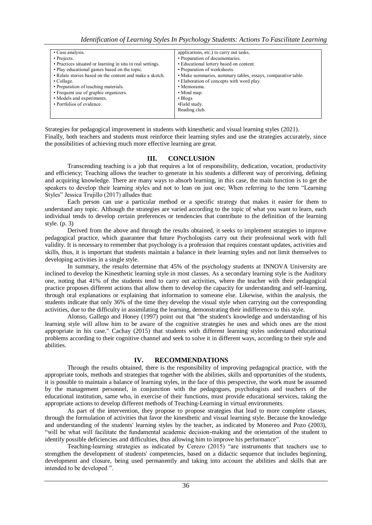| • Case analysis.                                           | applications, etc.) to carry out tasks.                      |
|------------------------------------------------------------|--------------------------------------------------------------|
| • Projects.                                                | • Preparation of documentaries.                              |
| • Practices situated or learning in situ in real settings. | • Educational lottery based on content.                      |
| • Play educational games based on the topic.               | • Preparation of worksheets.                                 |
| • Relate stories based on the content and make a sketch.   | · Make summaries, summary tables, essays, comparative table. |
| $\cdot$ Collage.                                           | • Elaboration of concepts with word play.                    |
| • Preparation of teaching materials.                       | • Memorama.                                                  |
| • Frequent use of graphic organizers.                      | • Mind map.                                                  |
| • Models and experiments.                                  | $\cdot$ Blogs                                                |
| • Portfolios of evidence.                                  | •Field study.                                                |
|                                                            | Reading club.                                                |
|                                                            |                                                              |

Strategies for pedagogical improvement in students with kinesthetic and visual learning styles (2021). Finally, both teachers and students must reinforce their learning styles and use the strategies accurately, since the possibilities of achieving much more effective learning are great.

## **III. CONCLUSION**

Transcending teaching is a job that requires a lot of responsibility, dedication, vocation, productivity and efficiency; Teaching allows the teacher to generate in his students a different way of perceiving, defining and acquiring knowledge. There are many ways to absorb learning, in this case, the main function is to get the speakers to develop their learning styles and not to lean on just one; When referring to the term "Learning Styles" Jessica Trujillo (2017) alludes that:

Each person can use a particular method or a specific strategy that makes it easier for them to understand any topic. Although the strategies are varied according to the topic of what you want to learn, each individual tends to develop certain preferences or tendencies that contribute to the definition of the learning style. (p. 3)

Derived from the above and through the results obtained, it seeks to implement strategies to improve pedagogical practice, which guarantee that future Psychologists carry out their professional work with full validity. It is necessary to remember that psychology is a profession that requires constant updates, activities and skills, thus, it is important that students maintain a balance in their learning styles and not limit themselves to developing activities in a single style.

In summary, the results determine that 45% of the psychology students at INNOVA University are inclined to develop the Kinesthetic learning style in most classes. As a secondary learning style is the Auditory one, noting that 41% of the students tend to carry out activities, where the teacher with their pedagogical practice proposes different actions that allow them to develop the capacity for understanding and self-learning, through oral explanations or explaining that information to someone else. Likewise, within the analysis, the students indicate that only 36% of the time they develop the visual style when carrying out the corresponding activities, due to the difficulty in assimilating the learning, demonstrating their indifference to this style.

Alonso, Gallego and Honey (1997) point out that "the student's knowledge and understanding of his learning style will allow him to be aware of the cognitive strategies he uses and which ones are the most appropriate in his case." Cachay (2015) that students with different learning styles understand educational problems according to their cognitive channel and seek to solve it in different ways, according to their style and abilities.

## **IV. RECOMMENDATIONS**

Through the results obtained, there is the responsibility of improving pedagogical practice, with the appropriate tools, methods and strategies that together with the abilities, skills and opportunities of the students, it is possible to maintain a balance of learning styles, in the face of this perspective, the work must be assumed by the management personnel, in conjunction with the pedagogues, psychologists and teachers of the educational institution, same who, in exercise of their functions, must provide educational services, taking the appropriate actions to develop different methods of Teaching-Learning in virtual environments.

As part of the intervention, they propose to propose strategies that lead to more complete classes, through the formulation of activities that favor the kinesthetic and visual learning style. Because the knowledge and understanding of the students' learning styles by the teacher, as indicated by Monereo and Pozo (2003), "will be what will facilitate the fundamental academic decision-making and the orientation of the student to identify possible deficiencies and difficulties, thus allowing him to improve his performance".

Teaching-learning strategies as indicated by Cerezo (2015) "are instruments that teachers use to strengthen the development of students' competencies, based on a didactic sequence that includes beginning, development and closure, being used permanently and taking into account the abilities and skills that are intended to be developed ".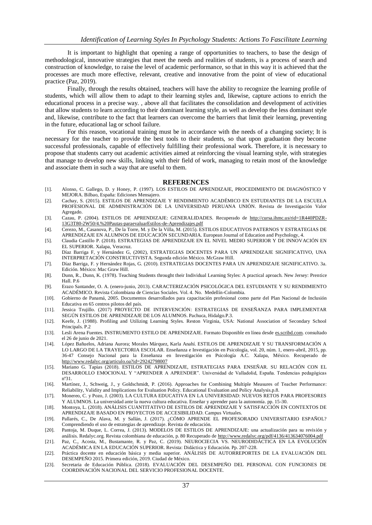It is important to highlight that opening a range of opportunities to teachers, to base the design of methodological, innovative strategies that meet the needs and realities of students, is a process of search and construction of knowledge, to raise the level of academic performance, so that in this way it is achieved that the processes are much more effective, relevant, creative and innovative from the point of view of educational practice (Paz, 2019).

Finally, through the results obtained, teachers will have the ability to recognize the learning profile of students, which will allow them to adapt to their learning styles and, likewise, capture actions to enrich the educational process in a precise way. , above all that facilitates the consolidation and development of activities that allow students to learn according to their dominant learning style, as well as develop the less dominant style and, likewise, contribute to the fact that learners can overcome the barriers that limit their learning, preventing in the future, educational lag or school failure.

For this reason, vocational training must be in accordance with the needs of a changing society; It is necessary for the teacher to provide the best tools to their students, so that upon graduation they become successful professionals, capable of effectively fulfilling their professional work. Therefore, it is necessary to propose that students carry out academic activities aimed at reinforcing the visual learning style, with strategies that manage to develop new skills, linking with their field of work, managing to retain most of the knowledge and associate them in such a way that are useful to them.

#### **REFERENCES**

- [1]. Alonso, C. Gallego, D. y Honey, P. (1997). LOS ESTILOS DE APRENDIZAJE, PROCEDIMIENTO DE DIAGNÓSTICO Y MEJORA. Bilbao, España: Ediciones Mensajero.
- [2]. Cachay, S. (2015). ESTILOS DE APRENDIZAJE Y RENDIMIENTO ACADÉMICO EN ESTUDIANTES DE LA ESCUELA PROFESIONAL DE ADMINISTRACIÓN DE LA UNIVERSIDAD PERUANA UNIÓN. Revista de Investigación Valor Agregado.
- [3]. Cazau, P. (2004). ESTILOS DE APRENDIZAJE: GENERALIDADES. Recuperado de [http://cursa.ihmc.us/rid=1R440PDZR-](http://cursa.ihmc.us/rid=1R440PDZR-13G3T80-2W50/4.%20Pautas-paraevaluarEstilos-de-Aprendizajes.pdf)[13G3T80-2W50/4.%20Pautas-paraevaluarEstilos-de-Aprendizajes.pdf](http://cursa.ihmc.us/rid=1R440PDZR-13G3T80-2W50/4.%20Pautas-paraevaluarEstilos-de-Aprendizajes.pdf)
- [4]. Cerezo, M., Casanova, P., De la Torre, M. y De la Villa, M. (2015). ESTILOS EDUCATIVOS PATERNOS Y ESTRATEGIAS DE APRENDIZAJE EN ALUMNOS DE EDUCACIÓN SECUNDARIA. European Journal of Education and Psychology, 4.
- [5]. Claudia Castillo P. (2018). ESTRATEGIAS DE APRENDIZAJE EN EL NIVEL MEDIO SUPERIOR Y DE INNOVACIÓN EN EL SUPERIOR. Xalapa, Veracruz.
- [6]. Díaz Barriga F, y Hernández G, (2002), ESTRATEGIAS DOCENTES PARA UN APRENDIZAJE SIGNIFICATIVO, UNA INTERPRETACIÓN CONSTRUCTIVISTA. Segunda edición México. McGraw Hill.
- [7]. Díaz Barriga, F. y Hernández Rojas, G. (2010). ESTRATEGIAS DOCENTES PARA UN APRENDIZAJE SIGNIFICATIVO. 3a. Edición. México: Mac Graw Hill.
- [8]. Dunn, R., Dunn, K. (1978). Teaching Students throught their Individual Learning Styles: A practical aproach. New Jersey: Prentice Hall. P.6
- [9]. Erazo Santander, O. A. (enero-junio, 2013). CARACTERIZACIÓN PSICOLÓGICA DEL ESTUDIANTE Y SU RENDIMIENTO ACADÉMICO. Revista Colombiana de Ciencias Sociales. Vol. 4. No. Medellín-Colombia.
- [10]. Gobierno de Panamá, 2005. Documentos desarrollados para capacitación profesional como parte del Plan Nacional de Inclusión Educativa en 65 centros pilotos del país.
- [11]. Jessica Trujillo. (2017) PROYECTO DE INTERVENCIÓN: ESTRATEGIAS DE ENSEÑANZA PARA IMPLEMENTAR SEGÚN ESTILOS DE APRENDIZAJE DE LOS ALUMNOS. Pachuca, Hidalgo.P.3.
- [12]. Keefe, J. (1988). Profiling and Utilizing Learning Styles. Reston Virginia, USA: National Association of Secondary School Principals. P.2
- [13]. Lesli Arena Fuentes. INSTRUMENTO ESTILO DE APRENDIZAJE. Formato Disponible en línea desde es.scribd.com. consultado el 26 de junio de 2021.
- [14]. López Bañuelos, Adriana Aurora; Morales Márquez, Karla Anahí. ESTILOS DE APRENDIZAJE Y SU TRANSFORMACIÓN A LO LARGO DE LA TRAYECTORIA ESCOLAR. Enseñanza e Investigación en Psicología, vol. 20, núm. 1, enero-abril, 2015, pp. 36-47 Consejo Nacional para la Enseñanza en Investigación en Psicología A.C. Xalapa, México. Recuperado de <http://www.redalyc.org/articulo.oa?id=29242798007>
- [15]. Mariano G. Tapias (2018). ESTILOS DE APRENDIZAJE, ESTRATEGIAS PARA ENSEÑAR. SU RELACIÓN CON EL DESARROLLO EMOCIONAL Y "APRENDER A APRENDER". Universidad de Valladolid, España. Tendencias pedagógicas nº31.
- [16]. Martínez, J., Schweig, J., y Goldschmidt, P. (2016). Approaches for Combining Multiple Measures of Teacher Performance: Reliability, Validity and Implications for Evaluation Policy. Educational Evaluation and Policy Analysis.p.8.
- [17]. Monereo, C. y Pozo, J. (2003). LA CULTURA EDUCATIVA EN LA UNIVERSIDAD: NUEVOS RETOS PARA PROFESORES Y ALUMNOS. La universidad ante la nueva cultura educativa. Enseñar y aprender para la autonomía. pp. 15-30.
- [18]. Montoya, L. (2018). ANÁLISIS CUANTITATIVO DE ESTILOS DE APRENDIZAJE Y SATISFACCIÓN EN CONTEXTOS DE APRENDIZAJE BASADO EN PROYECTOS DE ACCESIBILIDAD. Campus Virtuales.
- [19]. Pallarés, C., De Alava, M. y Sallán, J. (2017). ¿CÓMO APRENDE EL PROFESORADO UNIVERSITARIO ESPAÑOL? Comprendiendo el uso de estrategias de aprendizaje. Revista de educación.
- [20]. Pantoja, M. Duque, L. Correa, J. (2013). MODELOS DE ESTILOS DE APRENDIZAJE: una actualización para su revisión y análisis. Redalyc.org. Revista colombiana de educación, p. 80 Recuperado de<http://www.redalyc.org/pdf/4136/413634076004.pdf>
- [21]. Paz, C., Acosta, M., Bustamante, R. y Paz, C. (2019). NEUROCIECIA VS. NEURODIDÁCTICA EN LA EVOLUCIÓN ACADÉMICA EN LA EDUCACIÓN SUPERIOR. Revista: Didáctica y Educación. Pp. 207-228.
- [22]. Práctica docente en educación básica y media superior. ANÁLISIS DE AUTORREPORTES DE LA EVALUACIÓN DEL DESEMPEÑO 2015. Primera edición, 2019. Ciudad de México.
- [23]. Secretaria de Educación Pública. (2018). EVALUACIÓN DEL DESEMPEÑO DEL PERSONAL CON FUNCIONES DE COORDINACIÓN NACIONAL DEL SERVICIO PROFESIONAL DOCENTE.